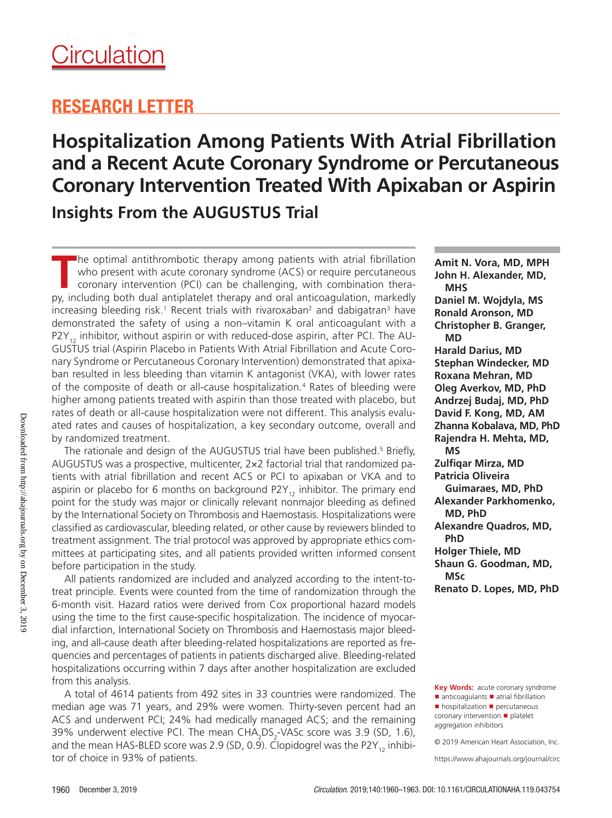## RESEARCH LETTER

# **Hospitalization Among Patients With Atrial Fibrillation and a Recent Acute Coronary Syndrome or Percutaneous Coronary Intervention Treated With Apixaban or Aspirin Insights From the AUGUSTUS Trial**

**T**he optimal antithrombotic therapy among patients with atrial fibrillation who present with acute coronary syndrome (ACS) or require percutaneous coronary intervention (PCI) can be challenging, with combination therapy, including both dual antiplatelet therapy and oral anticoagulation, markedly increasing bleeding risk.1 Recent trials with rivaroxaban $^{\rm 2}$  and dabigatran $^{\rm 3}$  have demonstrated the safety of using a non–vitamin K oral anticoagulant with a  $P2Y_{12}$  inhibitor, without aspirin or with reduced-dose aspirin, after PCI. The AU-GUSTUS trial (Aspirin Placebo in Patients With Atrial Fibrillation and Acute Coronary Syndrome or Percutaneous Coronary Intervention) demonstrated that apixaban resulted in less bleeding than vitamin K antagonist (VKA), with lower rates of the composite of death or all-cause hospitalization.4 Rates of bleeding were higher among patients treated with aspirin than those treated with placebo, but rates of death or all-cause hospitalization were not different. This analysis evaluated rates and causes of hospitalization, a key secondary outcome, overall and by randomized treatment.

The rationale and design of the AUGUSTUS trial have been published.<sup>5</sup> Briefly, AUGUSTUS was a prospective, multicenter, 2×2 factorial trial that randomized patients with atrial fibrillation and recent ACS or PCI to apixaban or VKA and to aspirin or placebo for 6 months on background P2Y<sub>12</sub> inhibitor. The primary end point for the study was major or clinically relevant nonmajor bleeding as defined by the International Society on Thrombosis and Haemostasis. Hospitalizations were classified as cardiovascular, bleeding related, or other cause by reviewers blinded to treatment assignment. The trial protocol was approved by appropriate ethics committees at participating sites, and all patients provided written informed consent before participation in the study.

All patients randomized are included and analyzed according to the intent-totreat principle. Events were counted from the time of randomization through the 6-month visit. Hazard ratios were derived from Cox proportional hazard models using the time to the first cause-specific hospitalization. The incidence of myocardial infarction, International Society on Thrombosis and Haemostasis major bleeding, and all-cause death after bleeding-related hospitalizations are reported as frequencies and percentages of patients in patients discharged alive. Bleeding-related hospitalizations occurring within 7 days after another hospitalization are excluded from this analysis.

A total of 4614 patients from 492 sites in 33 countries were randomized. The median age was 71 years, and 29% were women. Thirty-seven percent had an ACS and underwent PCI; 24% had medically managed ACS; and the remaining 39% underwent elective PCI. The mean  $CHA_2DS_2$ -VASc score was 3.9 (SD, 1.6), and the mean HAS-BLED score was 2.9 (SD, 0.9). Clopidogrel was the P2Y<sub>12</sub> inhibitor of choice in 93% of patients.

**Amit N. Vora, MD, MPH John H. Alexander, MD, MHS Daniel M. Wojdyla, MS Ronald Aronson, MD Christopher B. Granger, MD Harald Darius, MD Stephan Windecker, MD Roxana Mehran, MD Oleg Averkov, MD, PhD Andrzej Budaj, MD, PhD David F. Kong, MD, AM Zhanna Kobalava, MD, PhD Rajendra H. Mehta, MD, MS Zulfiqar Mirza, MD Patricia Oliveira Guimaraes, MD, PhD Alexander Parkhomenko, MD, PhD Alexandre Quadros, MD, PhD Holger Thiele, MD Shaun G. Goodman, MD, MSc Renato D. Lopes, MD, PhD**

**Key Words:** acute coronary syndrome ■ anticoagulants ■ atrial fibrillation ■ hospitalization ■ percutaneous

coronary intervention ◼ platelet aggregation inhibitors

© 2019 American Heart Association, Inc.

https://www.ahajournals.org/journal/circ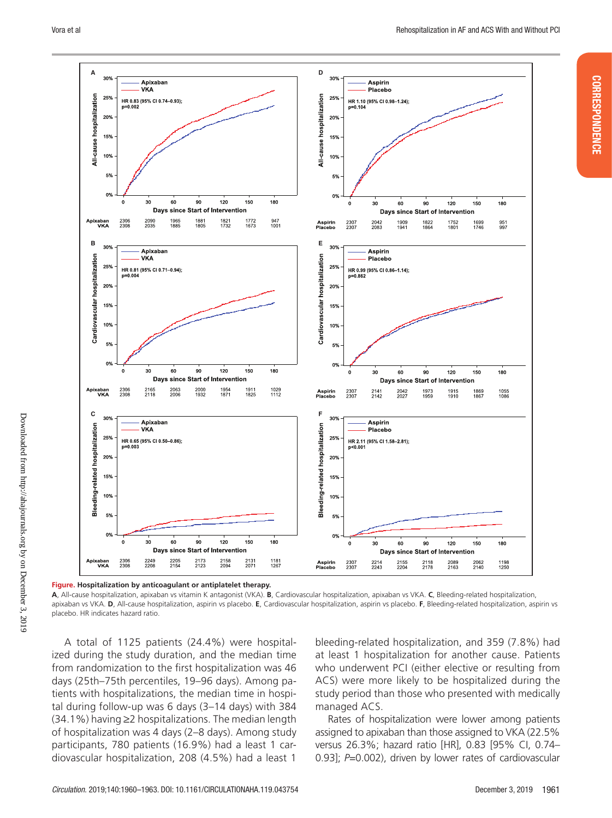CORRESPONDENCE

**CORRESPONDENCE** 



Downloaded from http://ahajournals.org by on December 3, 2019 Downloaded from http://ahajournals.org by on December 3, 2019

**Figure. Hospitalization by anticoagulant or antiplatelet therapy.**

**A**, All-cause hospitalization, apixaban vs vitamin K antagonist (VKA). **B**, Cardiovascular hospitalization, apixaban vs VKA. **C**, Bleeding-related hospitalization, apixaban vs VKA. **D**, All-cause hospitalization, aspirin vs placebo. **E**, Cardiovascular hospitalization, aspirin vs placebo. **F**, Bleeding-related hospitalization, aspirin vs placebo. HR indicates hazard ratio.

A total of 1125 patients (24.4%) were hospitalized during the study duration, and the median time from randomization to the first hospitalization was 46 days (25th–75th percentiles, 19–96 days). Among patients with hospitalizations, the median time in hospital during follow-up was 6 days (3–14 days) with 384 (34.1%) having ≥2 hospitalizations. The median length of hospitalization was 4 days (2–8 days). Among study participants, 780 patients (16.9%) had a least 1 cardiovascular hospitalization, 208 (4.5%) had a least 1

bleeding-related hospitalization, and 359 (7.8%) had at least 1 hospitalization for another cause. Patients who underwent PCI (either elective or resulting from ACS) were more likely to be hospitalized during the study period than those who presented with medically managed ACS.

Rates of hospitalization were lower among patients assigned to apixaban than those assigned to VKA (22.5% versus 26.3%; hazard ratio [HR], 0.83 [95% CI, 0.74– 0.93]; *P*=0.002), driven by lower rates of cardiovascular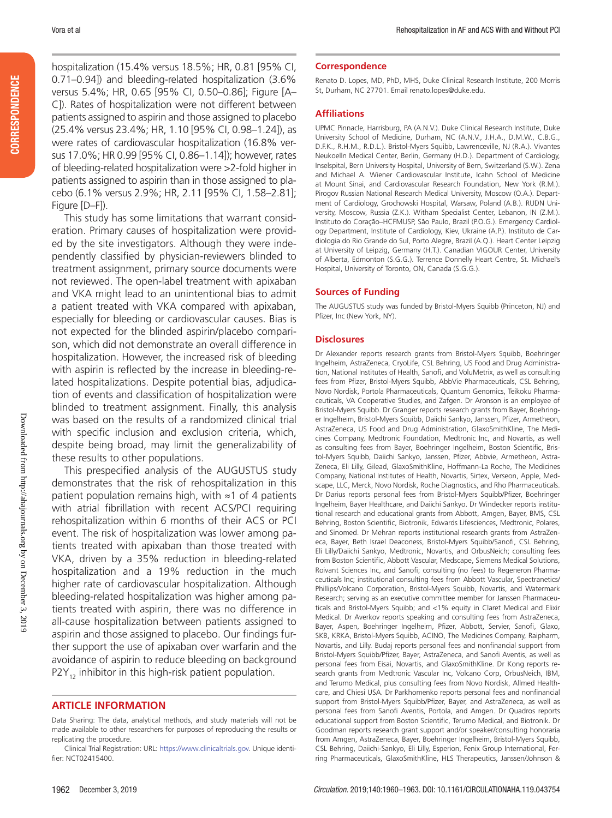hospitalization (15.4% versus 18.5%; HR, 0.81 [95% CI, 0.71–0.94]) and bleeding-related hospitalization (3.6% versus 5.4%; HR, 0.65 [95% CI, 0.50–0.86]; Figure [A– C]). Rates of hospitalization were not different between patients assigned to aspirin and those assigned to placebo (25.4% versus 23.4%; HR, 1.10 [95% CI, 0.98–1.24]), as were rates of cardiovascular hospitalization (16.8% versus 17.0%; HR 0.99 [95% CI, 0.86–1.14]); however, rates of bleeding-related hospitalization were >2-fold higher in patients assigned to aspirin than in those assigned to placebo (6.1% versus 2.9%; HR, 2.11 [95% CI, 1.58–2.81]; Figure [D–F]).

This study has some limitations that warrant consideration. Primary causes of hospitalization were provided by the site investigators. Although they were independently classified by physician-reviewers blinded to treatment assignment, primary source documents were not reviewed. The open-label treatment with apixaban and VKA might lead to an unintentional bias to admit a patient treated with VKA compared with apixaban, especially for bleeding or cardiovascular causes. Bias is not expected for the blinded aspirin/placebo comparison, which did not demonstrate an overall difference in hospitalization. However, the increased risk of bleeding with aspirin is reflected by the increase in bleeding-related hospitalizations. Despite potential bias, adjudication of events and classification of hospitalization were blinded to treatment assignment. Finally, this analysis was based on the results of a randomized clinical trial with specific inclusion and exclusion criteria, which, despite being broad, may limit the generalizability of these results to other populations.

This prespecified analysis of the AUGUSTUS study demonstrates that the risk of rehospitalization in this patient population remains high, with ≈1 of 4 patients with atrial fibrillation with recent ACS/PCI requiring rehospitalization within 6 months of their ACS or PCI event. The risk of hospitalization was lower among patients treated with apixaban than those treated with VKA, driven by a 35% reduction in bleeding-related hospitalization and a 19% reduction in the much higher rate of cardiovascular hospitalization. Although bleeding-related hospitalization was higher among patients treated with aspirin, there was no difference in all-cause hospitalization between patients assigned to aspirin and those assigned to placebo. Our findings further support the use of apixaban over warfarin and the avoidance of aspirin to reduce bleeding on background  $P2Y_{12}$  inhibitor in this high-risk patient population.

### **ARTICLE INFORMATION**

#### **Correspondence**

Renato D. Lopes, MD, PhD, MHS, Duke Clinical Research Institute, 200 Morris St, Durham, NC 27701. Email [renato.lopes@duke.edu](mailto:renato.lopes@duke.edu).

#### **Affiliations**

UPMC Pinnacle, Harrisburg, PA (A.N.V.). Duke Clinical Research Institute, Duke University School of Medicine, Durham, NC (A.N.V., J.H.A., D.M.W., C.B.G., D.F.K., R.H.M., R.D.L.). Bristol-Myers Squibb, Lawrenceville, NJ (R.A.). Vivantes Neukoelln Medical Center, Berlin, Germany (H.D.). Department of Cardiology, Inselspital, Bern University Hospital, University of Bern, Switzerland (S.W.). Zena and Michael A. Wiener Cardiovascular Institute, Icahn School of Medicine at Mount Sinai, and Cardiovascular Research Foundation, New York (R.M.). Pirogov Russian National Research Medical University, Moscow (O.A.). Department of Cardiology, Grochowski Hospital, Warsaw, Poland (A.B.). RUDN University, Moscow, Russia (Z.K.). Witham Specialist Center, Lebanon, IN (Z.M.). Instituto do Coração–HCFMUSP, São Paulo, Brazil (P.O.G.). Emergency Cardiology Department, Institute of Cardiology, Kiev, Ukraine (A.P.). Instituto de Cardiologia do Rio Grande do Sul, Porto Alegre, Brazil (A.Q.). Heart Center Leipzig at University of Leipzig, Germany (H.T.). Canadian VIGOUR Center, University of Alberta, Edmonton (S.G.G.). Terrence Donnelly Heart Centre, St. Michael's Hospital, University of Toronto, ON, Canada (S.G.G.).

#### **Sources of Funding**

The AUGUSTUS study was funded by Bristol-Myers Squibb (Princeton, NJ) and Pfizer, Inc (New York, NY).

#### **Disclosures**

Dr Alexander reports research grants from Bristol-Myers Squibb, Boehringer Ingelheim, AstraZeneca, CryoLife, CSL Behring, US Food and Drug Administration, National Institutes of Health, Sanofi, and VoluMetrix, as well as consulting fees from Pfizer, Bristol-Myers Squibb, AbbVie Pharmaceuticals, CSL Behring, Novo Nordisk, Portola Pharmaceuticals, Quantum Genomics, Teikoku Pharmaceuticals, VA Cooperative Studies, and Zafgen. Dr Aronson is an employee of Bristol-Myers Squibb. Dr Granger reports research grants from Bayer, Boehringer Ingelheim, Bristol-Myers Squibb, Daiichi Sankyo, Janssen, Pfizer, Armetheon, AstraZeneca, US Food and Drug Administration, GlaxoSmithKline, The Medicines Company, Medtronic Foundation, Medtronic Inc, and Novartis, as well as consulting fees from Bayer, Boehringer Ingelheim, Boston Scientific, Bristol-Myers Squibb, Daiichi Sankyo, Janssen, Pfizer, Abbvie, Armetheon, Astra-Zeneca, Eli Lilly, Gilead, GlaxoSmithKline, Hoffmann-La Roche, The Medicines Company, National Institutes of Health, Novartis, Sirtex, Verseon, Apple, Medscape, LLC, Merck, Novo Nordisk, Roche Diagnostics, and Rho Pharmaceuticals. Dr Darius reports personal fees from Bristol-Myers Squibb/Pfizer, Boehringer Ingelheim, Bayer Healthcare, and Daiichi Sankyo. Dr Windecker reports institutional research and educational grants from Abbott, Amgen, Bayer, BMS, CSL Behring, Boston Scientific, Biotronik, Edwards Lifesciences, Medtronic, Polares, and Sinomed. Dr Mehran reports institutional research grants from AstraZeneca, Bayer, Beth Israel Deaconess, Bristol-Myers Squibb/Sanofi, CSL Behring, Eli Lilly/Daiichi Sankyo, Medtronic, Novartis, and OrbusNeich; consulting fees from Boston Scientific, Abbott Vascular, Medscape, Siemens Medical Solutions, Roivant Sciences Inc, and Sanofi; consulting (no fees) to Regeneron Pharmaceuticals Inc; institutional consulting fees from Abbott Vascular, Spectranetics/ Phillips/Volcano Corporation, Bristol-Myers Squibb, Novartis, and Watermark Research; serving as an executive committee member for Janssen Pharmaceuticals and Bristol-Myers Squibb; and <1% equity in Claret Medical and Elixir Medical. Dr Averkov reports speaking and consulting fees from AstraZeneca, Bayer, Aspen, Boehringer Ingelheim, Pfizer, Abbott, Servier, Sanofi, Glaxo, SKB, KRKA, Bristol-Myers Squibb, ACINO, The Medicines Company, Raipharm, Novartis, and Lilly. Budaj reports personal fees and nonfinancial support from Bristol-Myers Squibb/Pfizer, Bayer, AstraZeneca, and Sanofi Aventis, as well as personal fees from Eisai, Novartis, and GlaxoSmithKline. Dr Kong reports research grants from Medtronic Vascular Inc, Volcano Corp, OrbusNeich, IBM, and Terumo Medical, plus consulting fees from Novo Nordisk, Allmed Healthcare, and Chiesi USA. Dr Parkhomenko reports personal fees and nonfinancial support from Bristol-Myers Squibb/Pfizer, Bayer, and AstraZeneca, as well as personal fees from Sanofi Aventis, Portola, and Amgen. Dr Quadros reports educational support from Boston Scientific, Terumo Medical, and Biotronik. Dr Goodman reports research grant support and/or speaker/consulting honoraria from Amgen, AstraZeneca, Bayer, Boehringer Ingelheim, Bristol-Myers Squibb, CSL Behring, Daiichi-Sankyo, Eli Lilly, Esperion, Fenix Group International, Ferring Pharmaceuticals, GlaxoSmithKline, HLS Therapeutics, Janssen/Johnson &

Data Sharing: The data, analytical methods, and study materials will not be made available to other researchers for purposes of reproducing the results or replicating the procedure.

Clinical Trial Registration: URL: https://www.clinicaltrials.gov. Unique identifier: NCT02415400.